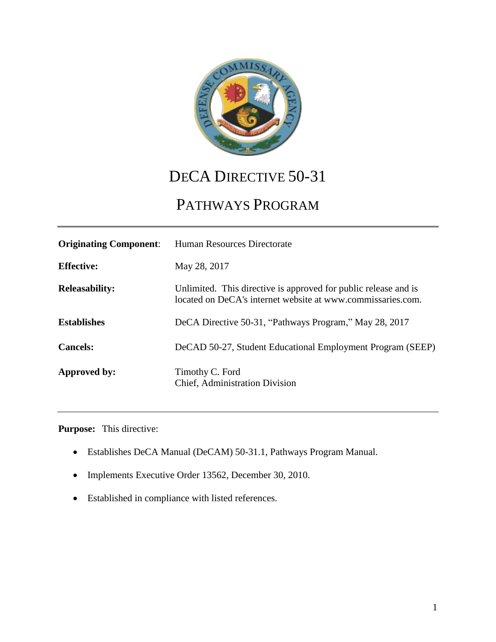

## DECA DIRECTIVE 50-31

# PATHWAYS PROGRAM

| <b>Originating Component:</b> | Human Resources Directorate                                                                                                    |
|-------------------------------|--------------------------------------------------------------------------------------------------------------------------------|
| <b>Effective:</b>             | May 28, 2017                                                                                                                   |
| <b>Releasability:</b>         | Unlimited. This directive is approved for public release and is<br>located on DeCA's internet website at www.commissaries.com. |
| <b>Establishes</b>            | DeCA Directive 50-31, "Pathways Program," May 28, 2017                                                                         |
| <b>Cancels:</b>               | DeCAD 50-27, Student Educational Employment Program (SEEP)                                                                     |
| Approved by:                  | Timothy C. Ford<br>Chief, Administration Division                                                                              |

**Purpose:** This directive:

- Establishes DeCA Manual (DeCAM) 50-31.1, Pathways Program Manual.
- Implements Executive Order 13562, December 30, 2010.
- Established in compliance with listed references.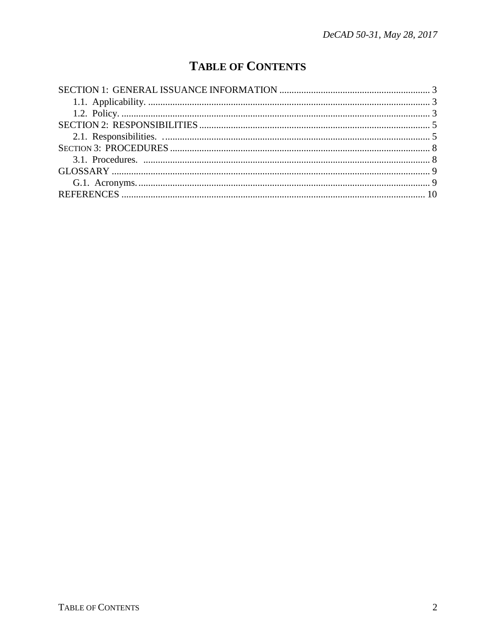### **TABLE OF CONTENTS**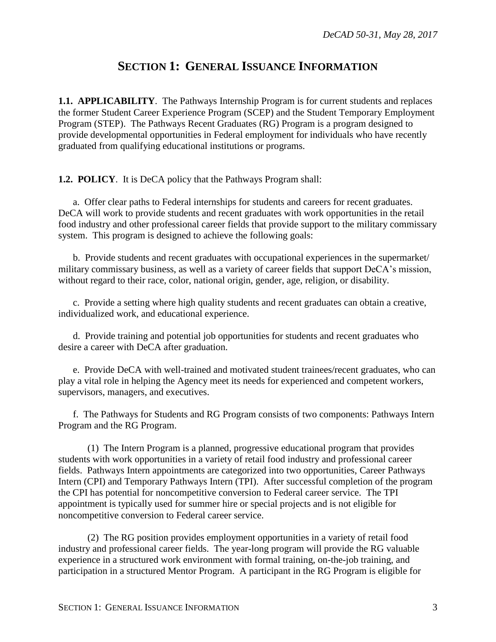#### **SECTION 1: GENERAL ISSUANCE INFORMATION**

<span id="page-2-1"></span><span id="page-2-0"></span>**1.1. APPLICABILITY**. The Pathways Internship Program is for current students and replaces the former Student Career Experience Program (SCEP) and the Student Temporary Employment Program (STEP). The Pathways Recent Graduates (RG) Program is a program designed to provide developmental opportunities in Federal employment for individuals who have recently graduated from qualifying educational institutions or programs.

<span id="page-2-2"></span>**1.2. POLICY**. It is DeCA policy that the Pathways Program shall:

a. Offer clear paths to Federal internships for students and careers for recent graduates. DeCA will work to provide students and recent graduates with work opportunities in the retail food industry and other professional career fields that provide support to the military commissary system. This program is designed to achieve the following goals:

b. Provide students and recent graduates with occupational experiences in the supermarket/ military commissary business, as well as a variety of career fields that support DeCA's mission, without regard to their race, color, national origin, gender, age, religion, or disability.

c. Provide a setting where high quality students and recent graduates can obtain a creative, individualized work, and educational experience.

d. Provide training and potential job opportunities for students and recent graduates who desire a career with DeCA after graduation.

e. Provide DeCA with well-trained and motivated student trainees/recent graduates, who can play a vital role in helping the Agency meet its needs for experienced and competent workers, supervisors, managers, and executives.

f. The Pathways for Students and RG Program consists of two components: Pathways Intern Program and the RG Program.

(1) The Intern Program is a planned, progressive educational program that provides students with work opportunities in a variety of retail food industry and professional career fields. Pathways Intern appointments are categorized into two opportunities, Career Pathways Intern (CPI) and Temporary Pathways Intern (TPI). After successful completion of the program the CPI has potential for noncompetitive conversion to Federal career service. The TPI appointment is typically used for summer hire or special projects and is not eligible for noncompetitive conversion to Federal career service.

(2) The RG position provides employment opportunities in a variety of retail food industry and professional career fields. The year-long program will provide the RG valuable experience in a structured work environment with formal training, on-the-job training, and participation in a structured Mentor Program. A participant in the RG Program is eligible for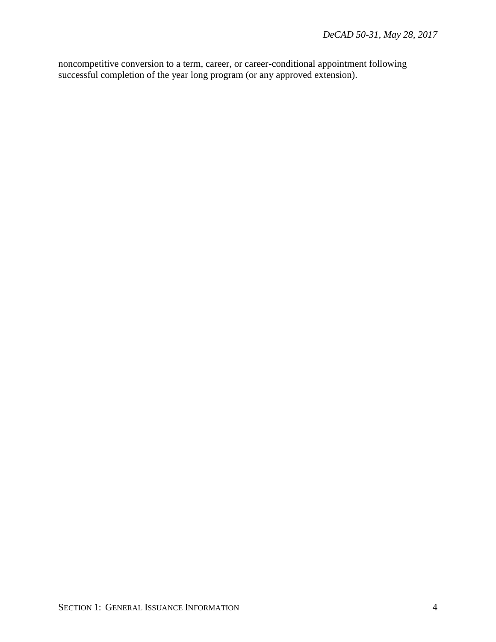noncompetitive conversion to a term, career, or career-conditional appointment following successful completion of the year long program (or any approved extension).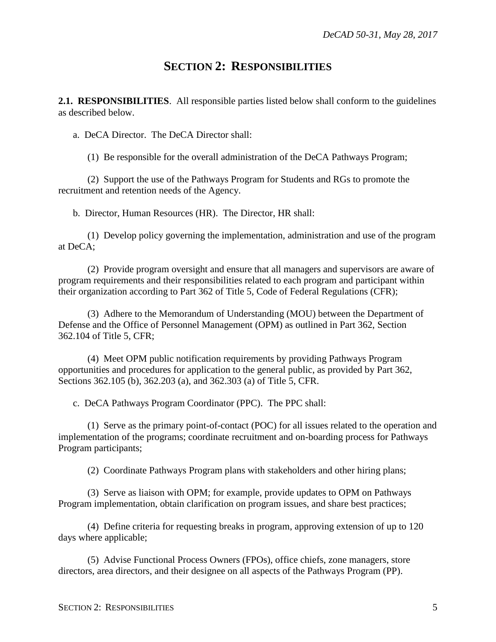#### **SECTION 2: RESPONSIBILITIES**

<span id="page-4-1"></span><span id="page-4-0"></span>**2.1. RESPONSIBILITIES**. All responsible parties listed below shall conform to the guidelines as described below.

a. DeCA Director. The DeCA Director shall:

(1) Be responsible for the overall administration of the DeCA Pathways Program;

(2) Support the use of the Pathways Program for Students and RGs to promote the recruitment and retention needs of the Agency.

b. Director, Human Resources (HR). The Director, HR shall:

(1) Develop policy governing the implementation, administration and use of the program at DeCA;

(2) Provide program oversight and ensure that all managers and supervisors are aware of program requirements and their responsibilities related to each program and participant within their organization according to Part 362 of Title 5, Code of Federal Regulations (CFR);

(3) Adhere to the Memorandum of Understanding (MOU) between the Department of Defense and the Office of Personnel Management (OPM) as outlined in Part 362, Section 362.104 of Title 5, CFR;

(4) Meet OPM public notification requirements by providing Pathways Program opportunities and procedures for application to the general public, as provided by Part 362, Sections 362.105 (b), 362.203 (a), and 362.303 (a) of Title 5, CFR.

c. DeCA Pathways Program Coordinator (PPC). The PPC shall:

(1) Serve as the primary point-of-contact (POC) for all issues related to the operation and implementation of the programs; coordinate recruitment and on-boarding process for Pathways Program participants;

(2) Coordinate Pathways Program plans with stakeholders and other hiring plans;

(3) Serve as liaison with OPM; for example, provide updates to OPM on Pathways Program implementation, obtain clarification on program issues, and share best practices;

(4) Define criteria for requesting breaks in program, approving extension of up to 120 days where applicable;

(5) Advise Functional Process Owners (FPOs), office chiefs, zone managers, store directors, area directors, and their designee on all aspects of the Pathways Program (PP).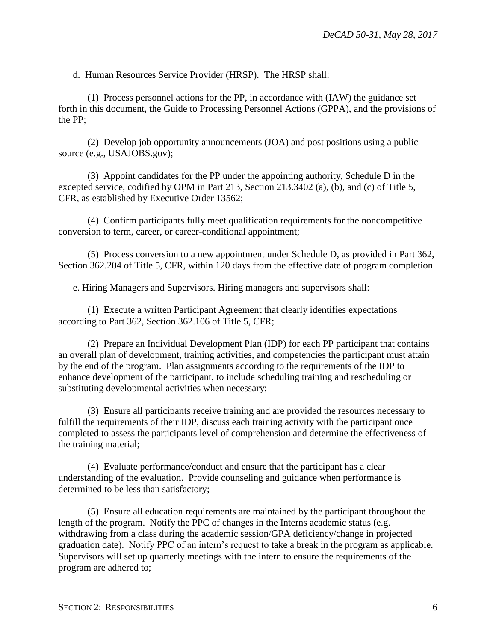d. Human Resources Service Provider (HRSP). The HRSP shall:

(1) Process personnel actions for the PP, in accordance with (IAW) the guidance set forth in this document, the Guide to Processing Personnel Actions (GPPA), and the provisions of the PP;

(2) Develop job opportunity announcements (JOA) and post positions using a public source (e.g., USAJOBS.gov);

(3) Appoint candidates for the PP under the appointing authority, Schedule D in the excepted service, codified by OPM in Part 213, Section 213.3402 (a), (b), and (c) of Title 5, CFR, as established by Executive Order 13562;

(4) Confirm participants fully meet qualification requirements for the noncompetitive conversion to term, career, or career-conditional appointment;

(5) Process conversion to a new appointment under Schedule D, as provided in Part 362, Section 362.204 of Title 5, CFR, within 120 days from the effective date of program completion.

e. Hiring Managers and Supervisors. Hiring managers and supervisors shall:

(1) Execute a written Participant Agreement that clearly identifies expectations according to Part 362, Section 362.106 of Title 5, CFR;

(2) Prepare an Individual Development Plan (IDP) for each PP participant that contains an overall plan of development, training activities, and competencies the participant must attain by the end of the program. Plan assignments according to the requirements of the IDP to enhance development of the participant, to include scheduling training and rescheduling or substituting developmental activities when necessary;

(3) Ensure all participants receive training and are provided the resources necessary to fulfill the requirements of their IDP, discuss each training activity with the participant once completed to assess the participants level of comprehension and determine the effectiveness of the training material;

(4) Evaluate performance/conduct and ensure that the participant has a clear understanding of the evaluation. Provide counseling and guidance when performance is determined to be less than satisfactory;

(5) Ensure all education requirements are maintained by the participant throughout the length of the program. Notify the PPC of changes in the Interns academic status (e.g. withdrawing from a class during the academic session/GPA deficiency/change in projected graduation date). Notify PPC of an intern's request to take a break in the program as applicable. Supervisors will set up quarterly meetings with the intern to ensure the requirements of the program are adhered to;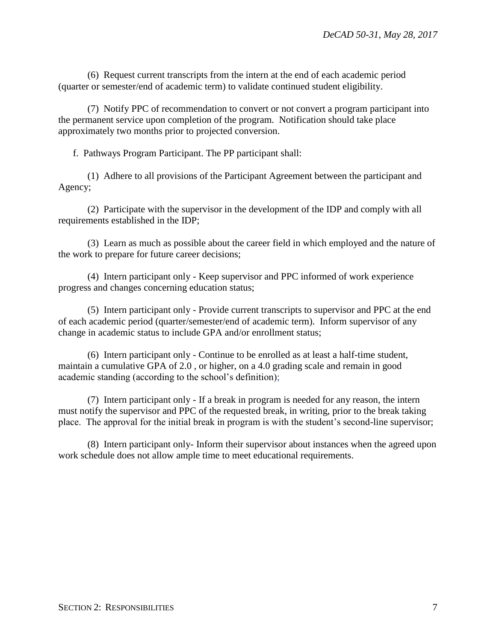(6) Request current transcripts from the intern at the end of each academic period (quarter or semester/end of academic term) to validate continued student eligibility.

(7) Notify PPC of recommendation to convert or not convert a program participant into the permanent service upon completion of the program. Notification should take place approximately two months prior to projected conversion.

f. Pathways Program Participant. The PP participant shall:

(1) Adhere to all provisions of the Participant Agreement between the participant and Agency;

(2) Participate with the supervisor in the development of the IDP and comply with all requirements established in the IDP;

(3) Learn as much as possible about the career field in which employed and the nature of the work to prepare for future career decisions;

(4) Intern participant only - Keep supervisor and PPC informed of work experience progress and changes concerning education status;

(5) Intern participant only - Provide current transcripts to supervisor and PPC at the end of each academic period (quarter/semester/end of academic term). Inform supervisor of any change in academic status to include GPA and/or enrollment status;

(6) Intern participant only - Continue to be enrolled as at least a half-time student, maintain a cumulative GPA of 2.0 , or higher, on a 4.0 grading scale and remain in good academic standing (according to the school's definition);

(7) Intern participant only - If a break in program is needed for any reason, the intern must notify the supervisor and PPC of the requested break, in writing, prior to the break taking place. The approval for the initial break in program is with the student's second-line supervisor;

(8) Intern participant only- Inform their supervisor about instances when the agreed upon work schedule does not allow ample time to meet educational requirements.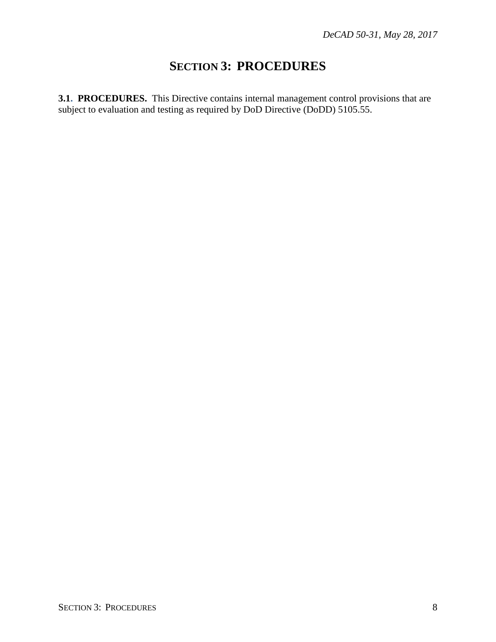### **SECTION 3: PROCEDURES**

<span id="page-7-1"></span><span id="page-7-0"></span>**3.1. PROCEDURES.** This Directive contains internal management control provisions that are subject to evaluation and testing as required by DoD Directive (DoDD) 5105.55.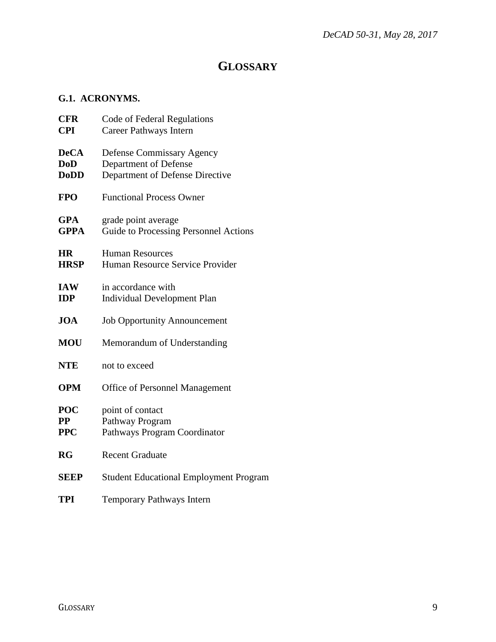#### **GLOSSARY**

#### <span id="page-8-1"></span><span id="page-8-0"></span>**G.1. ACRONYMS.**

| <b>CFR</b><br><b>CPI</b>                 | Code of Federal Regulations<br>Career Pathways Intern                                        |
|------------------------------------------|----------------------------------------------------------------------------------------------|
| <b>DeCA</b><br><b>DoD</b><br><b>DoDD</b> | <b>Defense Commissary Agency</b><br>Department of Defense<br>Department of Defense Directive |
| <b>FPO</b>                               | <b>Functional Process Owner</b>                                                              |
| <b>GPA</b><br><b>GPPA</b>                | grade point average<br>Guide to Processing Personnel Actions                                 |
| <b>HR</b><br><b>HRSP</b>                 | <b>Human Resources</b><br>Human Resource Service Provider                                    |
| <b>IAW</b><br><b>IDP</b>                 | in accordance with<br><b>Individual Development Plan</b>                                     |
| <b>JOA</b>                               | <b>Job Opportunity Announcement</b>                                                          |
| <b>MOU</b>                               | Memorandum of Understanding                                                                  |
| <b>NTE</b>                               | not to exceed                                                                                |
| <b>OPM</b>                               | <b>Office of Personnel Management</b>                                                        |
| POC<br>$\bf PP$<br><b>PPC</b>            | point of contact<br>Pathway Program<br>Pathways Program Coordinator                          |
| <b>RG</b>                                | <b>Recent Graduate</b>                                                                       |
| <b>SEEP</b>                              | <b>Student Educational Employment Program</b>                                                |
| <b>TPI</b>                               | <b>Temporary Pathways Intern</b>                                                             |